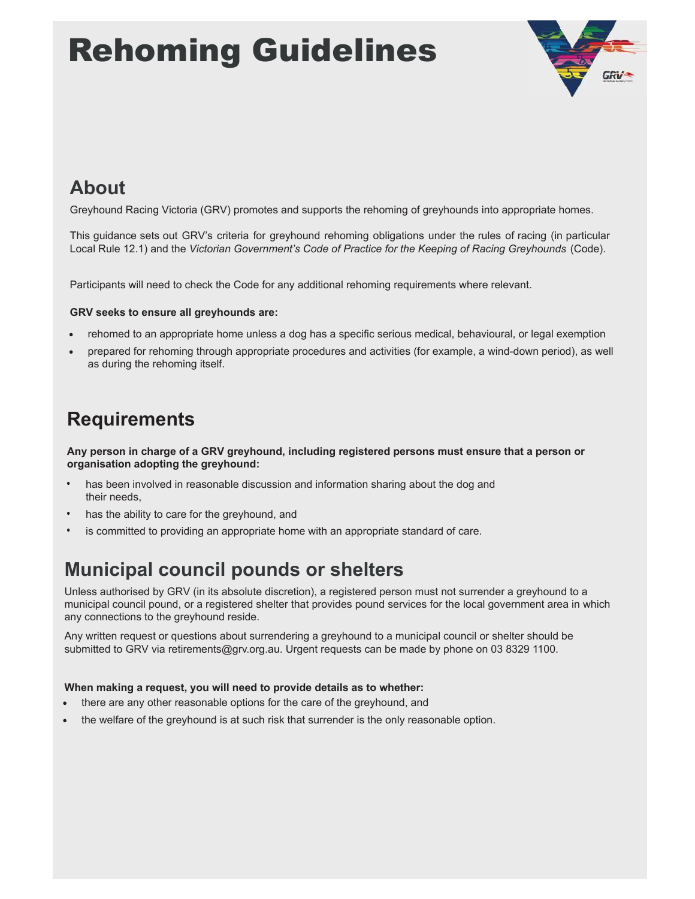# Rehoming Guidelines



# **About**

Greyhound Racing Victoria (GRV) promotes and supports the rehoming of greyhounds into appropriate homes.

This guidance sets out GRV's criteria for greyhound rehoming obligations under the rules of racing (in particular Local Rule 12.1) and the Victorian Government's Code of Practice for the Keeping of Racing Greyhounds (Code).

Participants will need to check the Code for any additional rehoming requirements where relevant.

### **GRV seeks to ensure all greyhounds are:**

- rehomed to an appropriate home unless a dog has a specific serious medical, behavioural, or legal exemption
- prepared for rehoming through appropriate procedures and activities (for example, a wind-down period), as well as during the rehoming itself.

## **Requirements**

Any person in charge of a GRV greyhound, including registered persons must ensure that a person or organisation adopting the greyhound:

- has been involved in reasonable discussion and information sharing about the dog and their needs.
- has the ability to care for the greyhound, and
- is committed to providing an appropriate home with an appropriate standard of care.

## **Municipal council pounds or shelters**

Unless authorised by GRV (in its absolute discretion), a registered person must not surrender a greyhound to a municipal council pound, or a registered shelter that provides pound services for the local government area in which any connections to the greyhound reside.

Any written request or questions about surrendering a greyhound to a municipal council or shelter should be submitted to GRV via retirements@grv.org.au. Urgent requests can be made by phone on 03 8329 1100.

## **When making a request, you will need to provide details as to whether:**

- there are any other reasonable options for the care of the greyhound, and
- the welfare of the greyhound is at such risk that surrender is the only reasonable option.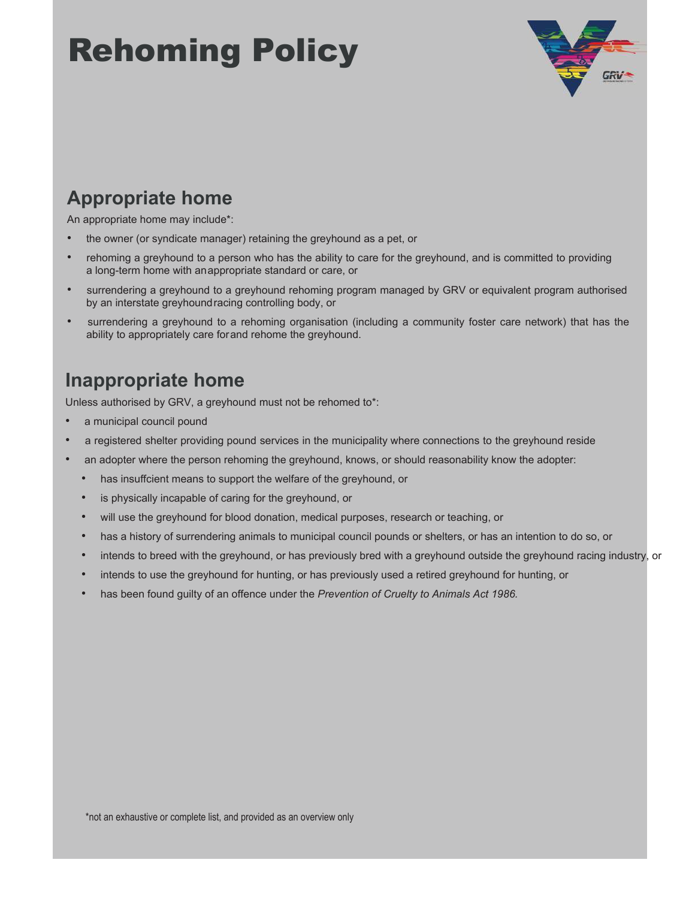# Rehoming Policy



## **Appropriate home**

An appropriate home may include\*:

- the owner (or syndicate manager) retaining the greyhound as a pet, or
- rehoming a greyhound to a person who has the ability to care for the greyhound, and is committed to providing a long-term home with anappropriate standard or care, or
- surrendering a greyhound to a greyhound rehoming program managed by GRV or equivalent program authorised by an interstate greyhoundracing controlling body, or
- surrendering a greyhound to a rehoming organisation (including a community foster care network) that has the ability to appropriately care forand rehome the greyhound.

## **Inappropriate home**

Unless authorised by GRV, a greyhound must not be rehomed to\*:

- a municipal council pound
- a registered shelter providing pound services in the municipality where connections to the greyhound reside
- an adopter where the person rehoming the greyhound, knows, or should reasonability know the adopter:
	- has insuffcient means to support the welfare of the greyhound, or
	- is physically incapable of caring for the greyhound, or
	- will use the greyhound for blood donation, medical purposes, research or teaching, or
	- has a history of surrendering animals to municipal council pounds or shelters, or has an intention to do so, or
	- intends to breed with the greyhound, or has previously bred with a greyhound outside the greyhound racing industry, or
	- intends to use the greyhound for hunting, or has previously used a retired greyhound for hunting, or
	- has been found guilty of an offence under the *Prevention of Cruelty to Animals Act 1986.*

\*not an exhaustive or complete list, and provided as an overview only